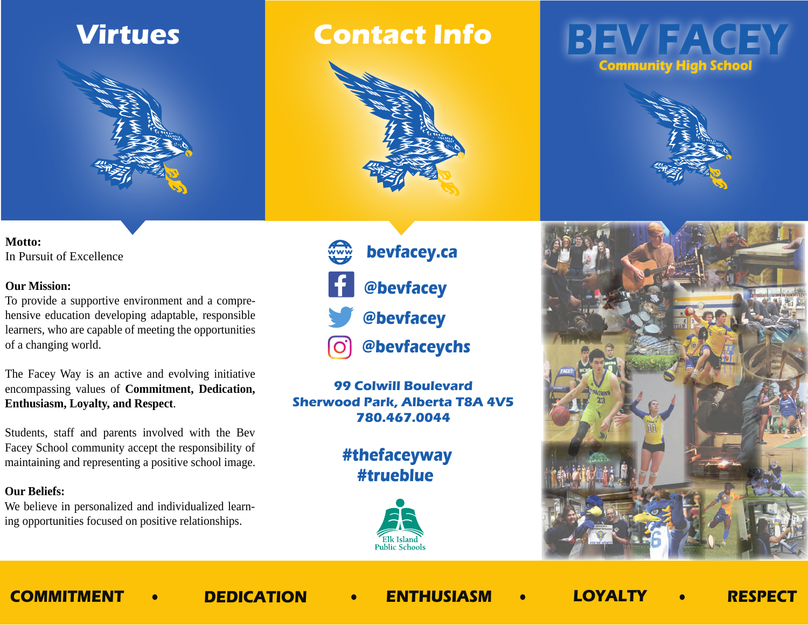## **Virtues**



### **Motto:**  In Pursuit of Excellence

### **Our Mission:**

To provide a supportive environment and a comprehensive education developing adaptable, responsible learners, who are capable of meeting the opportunities of a changing world.

The Facey Way is an active and evolving initiative encompassing values of **Commitment, Dedication, Enthusiasm, Loyalty, and Respect**.

Students, staff and parents involved with the Bev Facey School community accept the responsibility of maintaining and representing a positive school image.

### **Our Beliefs:**

We believe in personalized and individualized learning opportunities focused on positive relationships.

## **Contact Info**



**@bevfacey @bevfacey bevfacey.ca**

 **@bevfaceychs**

**99 Colwill Boulevard Sherwood Park, Alberta T8A 4V5 780.467.0044**

> **#trueblue #thefaceyway**



## **BEV FACEY Community High School**





**COMMITMENT DEDICATION ENTHUSIASM LOYALTY RESPECT**